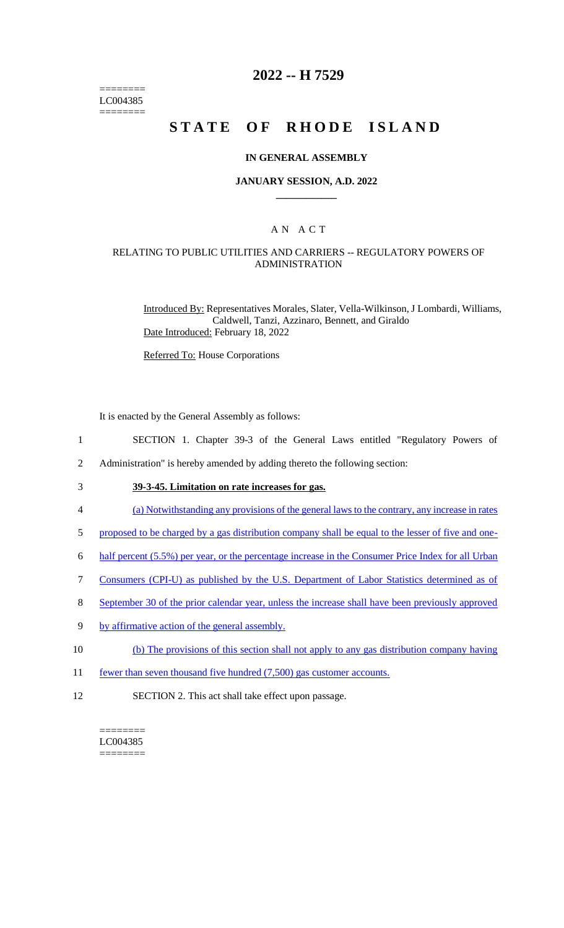======== LC004385 ========

# **2022 -- H 7529**

# **STATE OF RHODE ISLAND**

### **IN GENERAL ASSEMBLY**

### **JANUARY SESSION, A.D. 2022 \_\_\_\_\_\_\_\_\_\_\_\_**

### A N A C T

### RELATING TO PUBLIC UTILITIES AND CARRIERS -- REGULATORY POWERS OF ADMINISTRATION

Introduced By: Representatives Morales, Slater, Vella-Wilkinson, J Lombardi, Williams, Caldwell, Tanzi, Azzinaro, Bennett, and Giraldo Date Introduced: February 18, 2022

Referred To: House Corporations

It is enacted by the General Assembly as follows:

- 1 SECTION 1. Chapter 39-3 of the General Laws entitled "Regulatory Powers of
- 2 Administration" is hereby amended by adding thereto the following section:
- 3 **39-3-45. Limitation on rate increases for gas.**
- 4 (a) Notwithstanding any provisions of the general laws to the contrary, any increase in rates
- 5 proposed to be charged by a gas distribution company shall be equal to the lesser of five and one-
- 6 half percent (5.5%) per year, or the percentage increase in the Consumer Price Index for all Urban
- 7 Consumers (CPI-U) as published by the U.S. Department of Labor Statistics determined as of
- 8 September 30 of the prior calendar year, unless the increase shall have been previously approved
- 9 by affirmative action of the general assembly.
- 10 (b) The provisions of this section shall not apply to any gas distribution company having
- 11 fewer than seven thousand five hundred (7,500) gas customer accounts.
- 12 SECTION 2. This act shall take effect upon passage.

#### ======== LC004385 ========